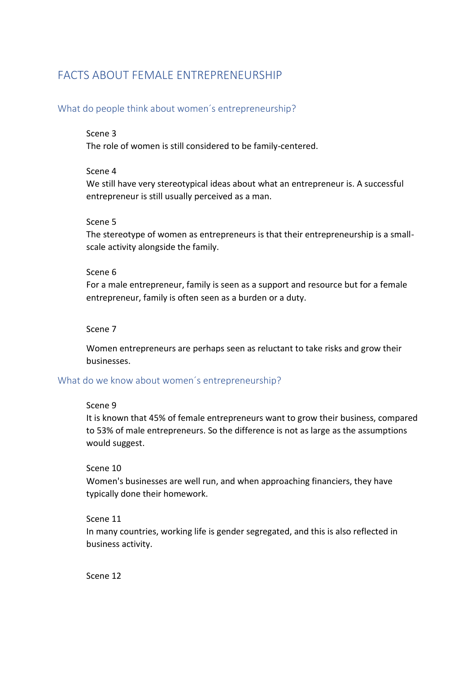# FACTS ABOUT FEMALE ENTREPRENEURSHIP

# What do people think about women´s entrepreneurship?

#### Scene 3

The role of women is still considered to be family-centered.

#### Scene 4

We still have very stereotypical ideas about what an entrepreneur is. A successful entrepreneur is still usually perceived as a man.

### Scene 5

The stereotype of women as entrepreneurs is that their entrepreneurship is a smallscale activity alongside the family.

### Scene 6

For a male entrepreneur, family is seen as a support and resource but for a female entrepreneur, family is often seen as a burden or a duty.

### Scene 7

Women entrepreneurs are perhaps seen as reluctant to take risks and grow their businesses.

# What do we know about women´s entrepreneurship?

# Scene 9

It is known that 45% of female entrepreneurs want to grow their business, compared to 53% of male entrepreneurs. So the difference is not as large as the assumptions would suggest.

# Scene 10

Women's businesses are well run, and when approaching financiers, they have typically done their homework.

# Scene 11

In many countries, working life is gender segregated, and this is also reflected in business activity.

Scene 12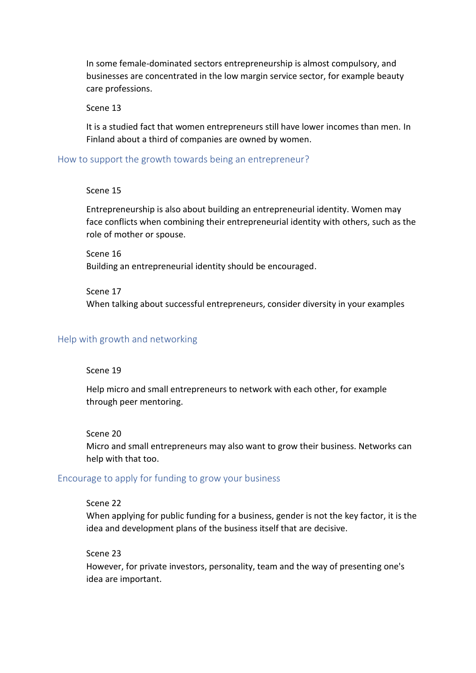In some female-dominated sectors entrepreneurship is almost compulsory, and businesses are concentrated in the low margin service sector, for example beauty care professions.

#### Scene 13

It is a studied fact that women entrepreneurs still have lower incomes than men. In Finland about a third of companies are owned by women.

How to support the growth towards being an entrepreneur?

#### Scene 15

Entrepreneurship is also about building an entrepreneurial identity. Women may face conflicts when combining their entrepreneurial identity with others, such as the role of mother or spouse.

Scene 16 Building an entrepreneurial identity should be encouraged.

Scene 17 When talking about successful entrepreneurs, consider diversity in your examples

#### Help with growth and networking

#### Scene 19

Help micro and small entrepreneurs to network with each other, for example through peer mentoring.

#### Scene 20

Micro and small entrepreneurs may also want to grow their business. Networks can help with that too.

#### Encourage to apply for funding to grow your business

#### Scene 22

When applying for public funding for a business, gender is not the key factor, it is the idea and development plans of the business itself that are decisive.

#### Scene 23

However, for private investors, personality, team and the way of presenting one's idea are important.